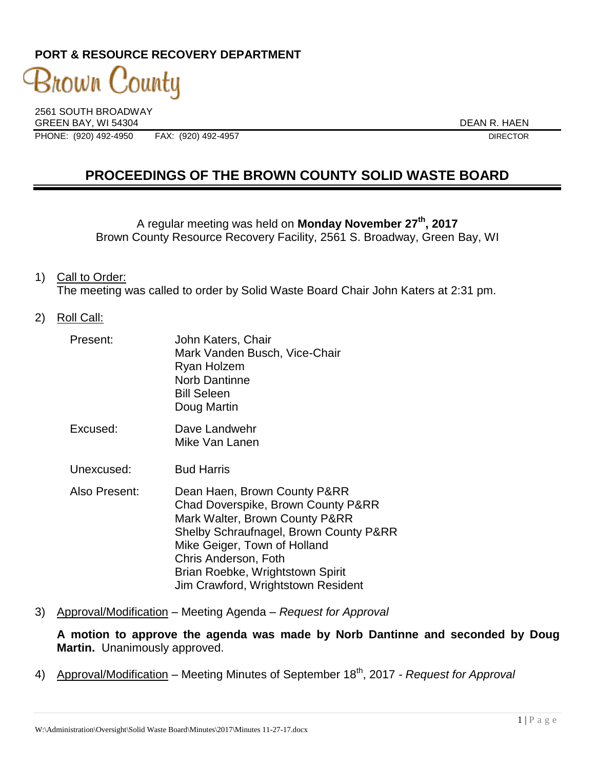## **PORT & RESOURCE RECOVERY DEPARTMENT**

3nown County 2561 SOUTH BROADWAY

GREEN BAY, WI 54304 DEAN R. HAEN

PHONE: (920) 492-4950 FAX: (920) 492-4957 DIRECTOR

# **PROCEEDINGS OF THE BROWN COUNTY SOLID WASTE BOARD**

A regular meeting was held on **Monday November 27th , 2017** Brown County Resource Recovery Facility, 2561 S. Broadway, Green Bay, WI

- 1) Call to Order: The meeting was called to order by Solid Waste Board Chair John Katers at 2:31 pm.
- 2) Roll Call:

| Present:      | John Katers, Chair<br>Mark Vanden Busch, Vice-Chair<br>Ryan Holzem<br><b>Norb Dantinne</b><br><b>Bill Seleen</b><br>Doug Martin                                                                                                                                                  |
|---------------|----------------------------------------------------------------------------------------------------------------------------------------------------------------------------------------------------------------------------------------------------------------------------------|
| Excused:      | Dave Landwehr<br>Mike Van Lanen                                                                                                                                                                                                                                                  |
| Unexcused:    | <b>Bud Harris</b>                                                                                                                                                                                                                                                                |
| Also Present: | Dean Haen, Brown County P&RR<br>Chad Doverspike, Brown County P&RR<br>Mark Walter, Brown County P&RR<br>Shelby Schraufnagel, Brown County P&RR<br>Mike Geiger, Town of Holland<br>Chris Anderson, Foth<br>Brian Roebke, Wrightstown Spirit<br>Jim Crawford, Wrightstown Resident |

3) Approval/Modification – Meeting Agenda – *Request for Approval*

**A motion to approve the agenda was made by Norb Dantinne and seconded by Doug Martin.** Unanimously approved.

4) Approval/Modification – Meeting Minutes of September 18<sup>th</sup>, 2017 *- Request for Approval*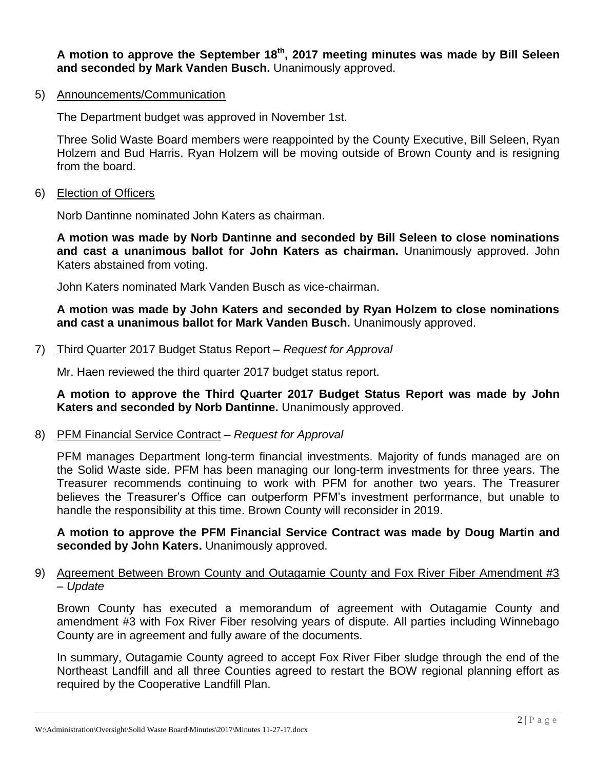**A motion to approve the September 18th , 2017 meeting minutes was made by Bill Seleen and seconded by Mark Vanden Busch.** Unanimously approved.

5) Announcements/Communication

The Department budget was approved in November 1st.

Three Solid Waste Board members were reappointed by the County Executive, Bill Seleen, Ryan Holzem and Bud Harris. Ryan Holzem will be moving outside of Brown County and is resigning from the board.

6) Election of Officers

Norb Dantinne nominated John Katers as chairman.

**A motion was made by Norb Dantinne and seconded by Bill Seleen to close nominations and cast a unanimous ballot for John Katers as chairman.** Unanimously approved. John Katers abstained from voting.

John Katers nominated Mark Vanden Busch as vice-chairman.

**A motion was made by John Katers and seconded by Ryan Holzem to close nominations and cast a unanimous ballot for Mark Vanden Busch.** Unanimously approved.

7) Third Quarter 2017 Budget Status Report – *Request for Approval*

Mr. Haen reviewed the third quarter 2017 budget status report.

**A motion to approve the Third Quarter 2017 Budget Status Report was made by John Katers and seconded by Norb Dantinne.** Unanimously approved.

8) PFM Financial Service Contract – *Request for Approval* 

PFM manages Department long-term financial investments. Majority of funds managed are on the Solid Waste side. PFM has been managing our long-term investments for three years. The Treasurer recommends continuing to work with PFM for another two years. The Treasurer believes the Treasurer's Office can outperform PFM's investment performance, but unable to handle the responsibility at this time. Brown County will reconsider in 2019.

**A motion to approve the PFM Financial Service Contract was made by Doug Martin and seconded by John Katers.** Unanimously approved.

#### 9) Agreement Between Brown County and Outagamie County and Fox River Fiber Amendment #3 – *Update*

Brown County has executed a memorandum of agreement with Outagamie County and amendment #3 with Fox River Fiber resolving years of dispute. All parties including Winnebago County are in agreement and fully aware of the documents.

In summary, Outagamie County agreed to accept Fox River Fiber sludge through the end of the Northeast Landfill and all three Counties agreed to restart the BOW regional planning effort as required by the Cooperative Landfill Plan.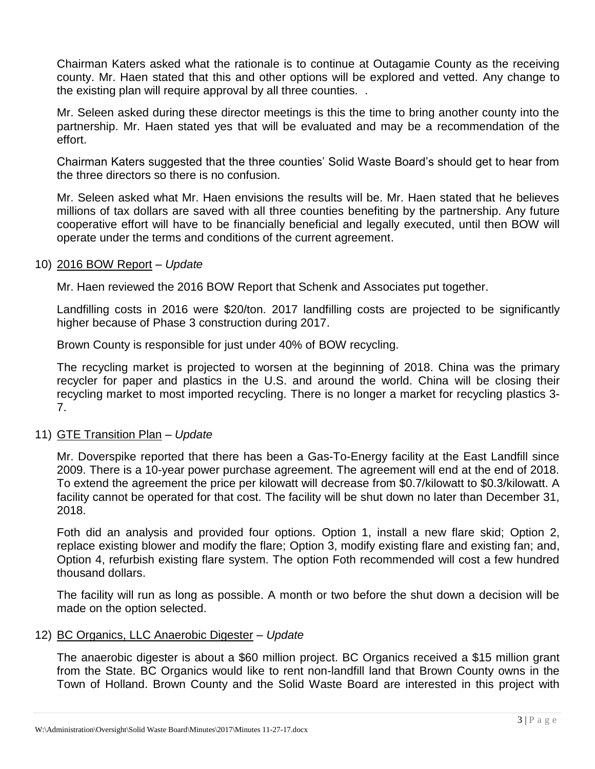Chairman Katers asked what the rationale is to continue at Outagamie County as the receiving county. Mr. Haen stated that this and other options will be explored and vetted. Any change to the existing plan will require approval by all three counties. .

Mr. Seleen asked during these director meetings is this the time to bring another county into the partnership. Mr. Haen stated yes that will be evaluated and may be a recommendation of the effort.

Chairman Katers suggested that the three counties' Solid Waste Board's should get to hear from the three directors so there is no confusion.

Mr. Seleen asked what Mr. Haen envisions the results will be. Mr. Haen stated that he believes millions of tax dollars are saved with all three counties benefiting by the partnership. Any future cooperative effort will have to be financially beneficial and legally executed, until then BOW will operate under the terms and conditions of the current agreement.

#### 10) 2016 BOW Report – *Update*

Mr. Haen reviewed the 2016 BOW Report that Schenk and Associates put together.

Landfilling costs in 2016 were \$20/ton. 2017 landfilling costs are projected to be significantly higher because of Phase 3 construction during 2017.

Brown County is responsible for just under 40% of BOW recycling.

The recycling market is projected to worsen at the beginning of 2018. China was the primary recycler for paper and plastics in the U.S. and around the world. China will be closing their recycling market to most imported recycling. There is no longer a market for recycling plastics 3- 7.

## 11) GTE Transition Plan – *Update*

Mr. Doverspike reported that there has been a Gas-To-Energy facility at the East Landfill since 2009. There is a 10-year power purchase agreement. The agreement will end at the end of 2018. To extend the agreement the price per kilowatt will decrease from \$0.7/kilowatt to \$0.3/kilowatt. A facility cannot be operated for that cost. The facility will be shut down no later than December 31, 2018.

Foth did an analysis and provided four options. Option 1, install a new flare skid; Option 2, replace existing blower and modify the flare; Option 3, modify existing flare and existing fan; and, Option 4, refurbish existing flare system. The option Foth recommended will cost a few hundred thousand dollars.

The facility will run as long as possible. A month or two before the shut down a decision will be made on the option selected.

#### 12) BC Organics, LLC Anaerobic Digester – *Update*

The anaerobic digester is about a \$60 million project. BC Organics received a \$15 million grant from the State. BC Organics would like to rent non-landfill land that Brown County owns in the Town of Holland. Brown County and the Solid Waste Board are interested in this project with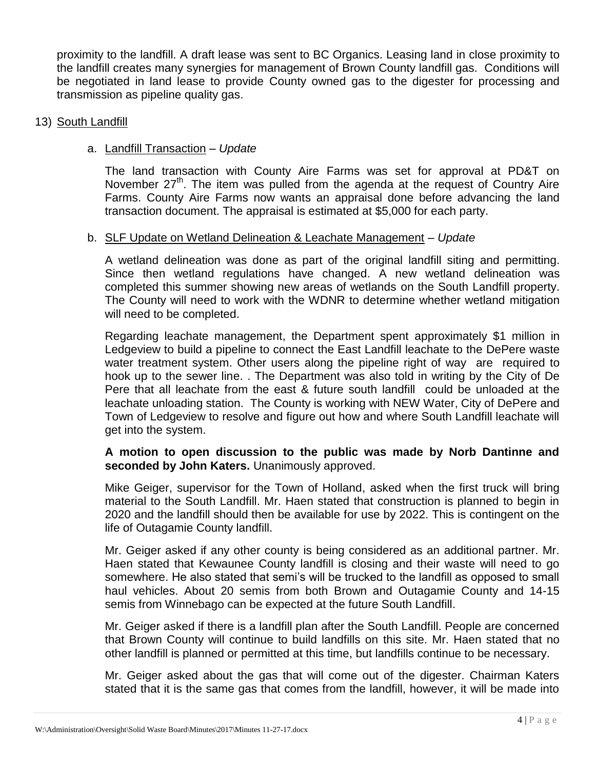proximity to the landfill. A draft lease was sent to BC Organics. Leasing land in close proximity to the landfill creates many synergies for management of Brown County landfill gas. Conditions will be negotiated in land lease to provide County owned gas to the digester for processing and transmission as pipeline quality gas.

#### 13) South Landfill

## a. Landfill Transaction – *Update*

The land transaction with County Aire Farms was set for approval at PD&T on November 27<sup>th</sup>. The item was pulled from the agenda at the request of Country Aire Farms. County Aire Farms now wants an appraisal done before advancing the land transaction document. The appraisal is estimated at \$5,000 for each party.

## b. SLF Update on Wetland Delineation & Leachate Management – *Update*

A wetland delineation was done as part of the original landfill siting and permitting. Since then wetland regulations have changed. A new wetland delineation was completed this summer showing new areas of wetlands on the South Landfill property. The County will need to work with the WDNR to determine whether wetland mitigation will need to be completed.

Regarding leachate management, the Department spent approximately \$1 million in Ledgeview to build a pipeline to connect the East Landfill leachate to the DePere waste water treatment system. Other users along the pipeline right of way are required to hook up to the sewer line. . The Department was also told in writing by the City of De Pere that all leachate from the east & future south landfill could be unloaded at the leachate unloading station. The County is working with NEW Water, City of DePere and Town of Ledgeview to resolve and figure out how and where South Landfill leachate will get into the system.

## **A motion to open discussion to the public was made by Norb Dantinne and seconded by John Katers.** Unanimously approved.

Mike Geiger, supervisor for the Town of Holland, asked when the first truck will bring material to the South Landfill. Mr. Haen stated that construction is planned to begin in 2020 and the landfill should then be available for use by 2022. This is contingent on the life of Outagamie County landfill.

Mr. Geiger asked if any other county is being considered as an additional partner. Mr. Haen stated that Kewaunee County landfill is closing and their waste will need to go somewhere. He also stated that semi's will be trucked to the landfill as opposed to small haul vehicles. About 20 semis from both Brown and Outagamie County and 14-15 semis from Winnebago can be expected at the future South Landfill.

Mr. Geiger asked if there is a landfill plan after the South Landfill. People are concerned that Brown County will continue to build landfills on this site. Mr. Haen stated that no other landfill is planned or permitted at this time, but landfills continue to be necessary.

Mr. Geiger asked about the gas that will come out of the digester. Chairman Katers stated that it is the same gas that comes from the landfill, however, it will be made into